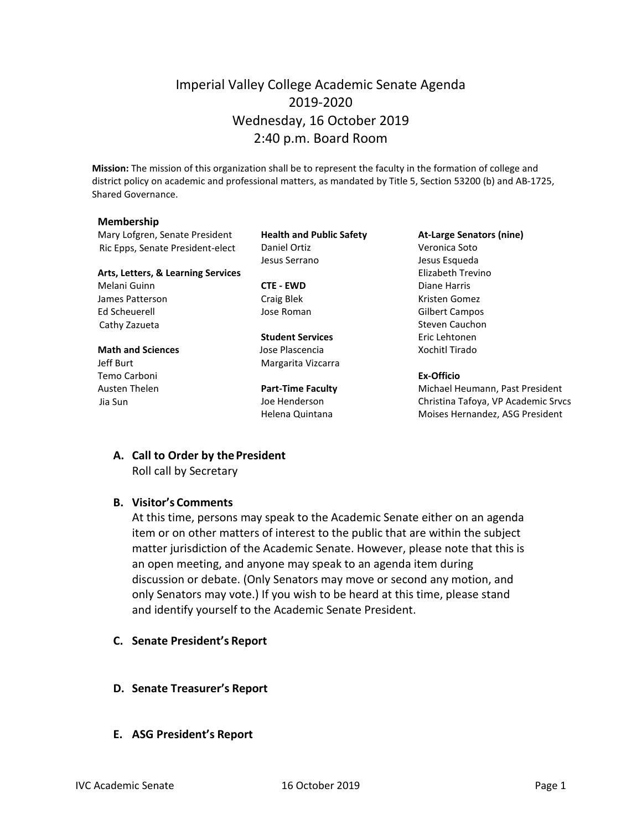## Imperial Valley College Academic Senate Agenda 2019-2020 Wednesday, 16 October 2019 2:40 p.m. Board Room

**Mission:** The mission of this organization shall be to represent the faculty in the formation of college and district policy on academic and professional matters, as mandated by Title 5, Section 53200 (b) and AB-1725, Shared Governance.

#### **Membership**

Mary Lofgren, Senate President **Health and Public Safety At-Large Senators (nine)** Ric Epps, Senate President-elect Daniel Ortiz Christian Muslem Veronica Soto

#### **Arts, Letters, & Learning Services** Elizabeth Trevino

Melani Guinn **CTE - EWD** Diane Harris James Patterson **Craig Blek** Craig Blek Kristen Gomez Ed Scheuerell Jose Roman Gilbert Campos Cathy Zazueta **Steven Cauchon** Steven Cauchon

#### **Math and Sciences Contains Islam Jose Plascencia Xochitl Tirado** Jeff Burt **Margarita Vizcarra**

Temo Carboni **Ex-Officio**

Jesus Serrano Jesus Esqueda

**Student Services** Eric Lehtonen

Austen Thelen **Part-Time Faculty** Michael Heumann, Past President Jia Sun Joe Henderson Christina Tafoya, VP Academic Srvcs Helena Quintana **Moises Hernandez**, ASG President

# **A. Call to Order by thePresident**

Roll call by Secretary

#### **B. Visitor's Comments**

At this time, persons may speak to the Academic Senate either on an agenda item or on other matters of interest to the public that are within the subject matter jurisdiction of the Academic Senate. However, please note that this is an open meeting, and anyone may speak to an agenda item during discussion or debate. (Only Senators may move or second any motion, and only Senators may vote.) If you wish to be heard at this time, please stand and identify yourself to the Academic Senate President.

- **C. Senate President's Report**
- **D. Senate Treasurer's Report**
- **E. ASG President's Report**